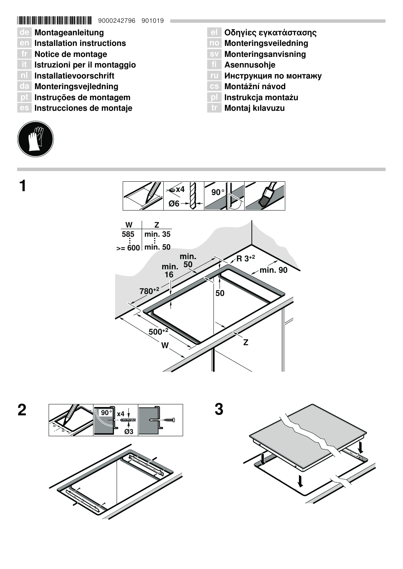# \*9000242796\* 9000242796 901019

- de Montageanleitung
- en Installation instructions
- fr Notice de montage
- it Istruzioni per il montaggio
- nl Installatievoorschrift
- da Monteringsvejledning
- pt Instruções de montagem
- es Instrucciones de montaje



 $\mathbf 1$ 

- **el Οδηγίες εγκατάστασης**
- no Monteringsveiledning
- sv Monteringsanvisning
- **TI** Asennusohje
- ги Инструкция по монтажу
- Montážní návod
- pl Instrukcja montażu
- **tr** Montaj kılavuzu







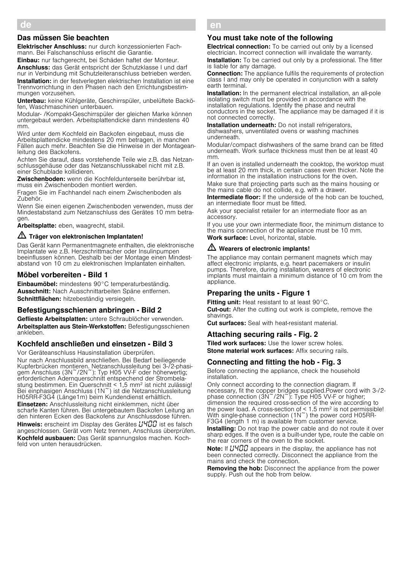## Das müssen Sie beachten

Elektrischer Anschluss: nur durch konzessionierten Fachmann. Bei Falschanschluss erlischt die Garantie.

Einbau: nur fachgerecht, bei Schäden haftet der Monteur.

Anschluss: das Gerät entspricht der Schutzklasse I und darf nur in Verbindung mit Schutzleiteranschluss betrieben werden. Installation: in der festverlegten elektrischen Installation ist eine

Trennvorrichtung in den Phasen nach den Errichtungsbestimmungen vorzusehen.

Unterbau: keine Kühlgeräte, Geschirrspüler, unbelüftete Backöfen, Waschmaschinen unterbauen.

Modular- /Kompakt-Geschirrspüler der gleichen Marke können untergebaut werden. Arbeitsplattendicke dann mindestens 40 mm.

Wird unter dem Kochfeld ein Backofen eingebaut, muss die Arbeitsplattendicke mindestens 20 mm betragen, in manchen Fällen auch mehr. Beachten Sie die Hinweise in der Montageanleitung des Backofens.

Achten Sie darauf, dass vorstehende Teile wie z.B. das Netzanschlussgehäuse oder das Netzanschlusskabel nicht mit z.B. einer Schublade kollidieren.

Zwischenboden: wenn die Kochfeldunterseite berührbar ist, muss ein Zwischenboden montiert werden.

Fragen Sie im Fachhandel nach einem Zwischenboden als Zubehör.

Wenn Sie einen eigenen Zwischenboden verwenden, muss der Mindestabstand zum Netzanschluss des Gerätes 10 mm betragen.

Arbeitsplatte: eben, waagrecht, stabil.

### $\sqrt{\Delta}$  Träger von elektronischen Implantaten!

Das Gerät kann Permanentmagnete enthalten, die elektronische Implantate wie z.B. Herzschrittmacher oder Insulinpumpen beeinflussen können. Deshalb bei der Montage einen Mindestabstand von 10 cm zu elektronischen Implantaten einhalten.

## Möbel vorbereiten - Bild 1

Einbaumöbel: mindestens 90°C temperaturbeständig. Ausschnitt: Nach Ausschnittarbeiten Späne entfernen. Schnittflächen: hitzebeständig versiegeln.

### Befestigungsschienen anbringen - Bild 2

Geflieste Arbeitsplatten: untere Schraublöcher verwenden. Arbeitsplatten aus Stein-Werkstoffen: Befestigungsschienen ankleben.

## Kochfeld anschließen und einsetzen - Bild 3

Vor Geräteanschluss Hausinstallation überprüfen. Nur nach Anschlussbild anschließen. Bei Bedarf beiliegende Kupferbrücken montieren. Netzanschlussleitung bei 3-/2-phasigem Anschluss (3N~/2N~): Typ H05 VV-F oder höherwertig; erforderlichen Adernquerschnitt entspechend der Strombelastung bestimmen. Ein Querschnitt < 1,5 mm2 ist nicht zulässig! Bei einphasigen Anschluss (1N~) ist die Netzanschlussleitung H05RR-F3G4 (Länge1m) beim Kundendienst erhältlich. Einsetzen: Anschlussleitung nicht einklemmen, nicht über scharfe Kanten führen. Bei untergebautem Backofen Leitung an den hinteren Ecken des Backofens zur Anschlussdose führen. **Hinweis:** erscheint im Display des Gerätes  $\mu$ 400 ist es falsch

angeschlossen. Gerät vom Netz trennen, Anschluss überprüfen. Kochfeld ausbauen: Das Gerät spannungslos machen. Kochfeld von unten herausdrücken.

#### en Ú Installation instructions

### You must take note of the following

**Electrical connection:** To be carried out only by a licensed electrician. Incorrect connection will invalidate the warranty. **Installation:** To be carried out only by a professional. The fitter is liable for any damage.

Connection: The appliance fulfils the requirements of protection class I and may only be operated in conjunction with a safety earth terminal.

**Installation:** In the permanent electrical installation, an all-pole isolating switch must be provided in accordance with the installation regulations. Identify the phase and neutral conductors in the socket. The appliance may be damaged if it is not connected correctly.

Installation underneath: Do not install refrigerators, dishwashers, unventilated ovens or washing machines underneath.

Modular/compact dishwashers of the same brand can be fitted underneath. Work surface thickness must then be at least 40 mm.

If an oven is installed underneath the cooktop, the worktop must be at least 20 mm thick, in certain cases even thicker. Note the information in the installation instructions for the oven.

Make sure that projecting parts such as the mains housing or the mains cable do not collide, e.g. with a drawer.

Intermediate floor: If the underside of the hob can be touched. an intermediate floor must be fitted.

Ask your specialist retailer for an intermediate floor as an accessory.

If you use your own intermediate floor, the minimum distance to the mains connection of the appliance must be 10 mm. Work surface: Level, horizontal, stable.

# $\triangle$  Wearers of electronic implants!

The appliance may contain permanent magnets which may affect electronic implants, e.g. heart pacemakers or insulin pumps. Therefore, during installation, wearers of electronic implants must maintain a minimum distance of 10 cm from the appliance.

### Preparing the units - Figure 1

Fitting unit: Heat resistant to at least 90°C. **Cut-out:** After the cutting out work is complete, remove the shavings.

Cut surfaces: Seal with heat-resistant material.

### Attaching securing rails - Fig. 2

**Tiled work surfaces:** Use the lower screw holes. Stone material work surfaces: Affix securing rails.

### Connecting and fitting the hob - Fig. 3

Before connecting the appliance, check the household installation.

Only connect according to the connection diagram. If necessary, fit the copper bridges supplied.Power cord with 3-/2 phase connection (3N~/2N~): Type H05 VV-F or higher; dimension the required cross-section of the wire according to the power load. A cross-section of  $\leq 1.5$  mm<sup>2</sup> is not permissible! With single-phase connection (1N~) the power cord H05RR-F3G4 (length 1 m) is available from customer service.

**Installing:** Do not trap the power cable and do not route it over sharp edges. If the oven is a built-under type, route the cable on the rear corners of the oven to the socket.

Note: If HHHH appears in the display, the appliance has not been connected correctly. Disconnect the appliance from the mains and check the connection.

Removing the hob: Disconnect the appliance from the power supply. Push out the hob from below.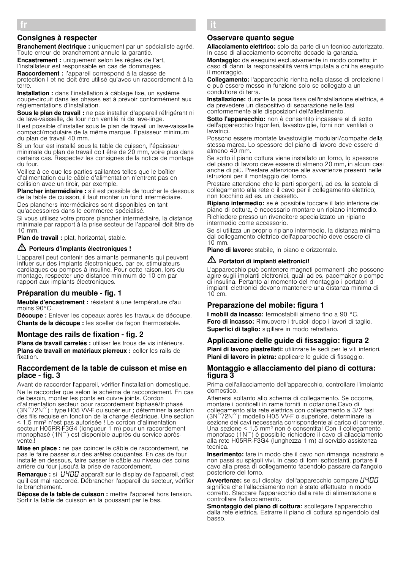# Consignes à respecter

Branchement électrique : uniquement par un spécialiste agréé. Toute erreur de branchement annule la garantie.

Encastrement : uniquement selon les règles de l'art, l'installateur est responsable en cas de dommages. Raccordement : l'appareil correspond à la classe de

protection I et ne doit être utilisé qu'avec un raccordement à la terre.

Installation : dans l'installation à câblage fixe, un système coupe-circuit dans les phases est à prévoir conformément aux réglementations d'installation.

Sous le plan de travail : ne pas installer d'appareil réfrigérant ni de lave-vaisselle, de four non ventilé ni de lave-linge.

Il est possible d'installer sous le plan de travail un lave-vaisselle compact/modulaire de la même marque. Épaisseur minimum du plan de travail 40 mm.

Si un four est installé sous la table de cuisson, l'épaisseur minimale du plan de travail doit être de 20 mm, voire plus dans certains cas. Respectez les consignes de la notice de montage du four.

Veillez à ce que les parties saillantes telles que le boîtier d'alimentation ou le câble d'alimentation n'entrent pas en collision avec un tiroir, par exemple.

Plancher intermédiaire : s'il est possible de toucher le dessous de la table de cuisson, il faut monter un fond intermédiaire. Des planchers intermédiaires sont disponibles en tant qu'accessoires dans le commerce spécialisé.

Si vous utilisez votre propre plancher intermédiaire, la distance minimale par rapport à la prise secteur de l'appareil doit être de 10 mm.

Plan de travail : plat, horizontal, stable.

# $\triangle$  Porteurs d'implants électroniques !

L'appareil peut contenir des aimants permanents qui peuvent influer sur des implants électroniques, par ex. stimulateurs cardiaques ou pompes à insuline. Pour cette raison, lors du montage, respecter une distance minimum de 10 cm par rapport aux implants électroniques.

### Préparation du meuble - fig. 1

Meuble d'encastrement : résistant à une température d'au moins 90°C.

Découpe : Enlever les copeaux après les travaux de découpe. Chants de la découpe : les sceller de façon thermostable.

### Montage des rails de fixation - fig. 2

Plans de travail carrelés : utiliser les trous de vis inférieurs. Plans de travail en matériaux pierreux : coller les rails de fixation.

### Raccordement de la table de cuisson et mise en place - fig. 3

Avant de raccorder l'appareil, vérifier l'installation domestique. Ne le raccorder que selon le schéma de raccordement. En cas de besoin, monter les ponts en cuivre joints. Cordon d'alimentation secteur pour raccordement biphasé/triphasé (3N~/2N~) : type H05 VV-F ou supérieur ; déterminer la section des fils requise en fonction de la charge électrique. Une section < 1,5 mm2 n'est pas autorisée ! Le cordon d'alimentation secteur H05RR-F3G4 (longueur 1 m) pour un raccordement monophasé (1N~) est disponible auprès du service aprèsvente<sup>1</sup>

Mise en place : ne pas coincer le câble de raccordement, ne pas le faire passer sur des arêtes coupantes. En cas de four installé en dessous, faire passer le câble au niveau des coins arrière du four jusqu'à la prise de raccordement.

Remarque : si *LIYOO* apparaît sur le display de l'appareil, c'est qu'il est mal raccordé. Débrancher l'appareil du secteur, vérifier le branchement.

Dépose de la table de cuisson : mettre l'appareil hors tension. Sortir la table de cuisson en la poussant par le bas.

# Osservare quanto segue

â Istruzioni per il montaggio

Allacciamento elettrico: solo da parte di un tecnico autorizzato. In caso di allacciamento scorretto decade la garanzia.

Montaggio: da eseguirsi esclusivamente in modo corretto; in caso di danni la responsabilità verrà imputata a chi ha eseguito il montaggio.

Collegamento: l'apparecchio rientra nella classe di protezione l e può essere messo in funzione solo se collegato a un conduttore di terra.

Installazione: durante la posa fissa dell'installazione elettrica, è da prevedere un dispositivo di separazione nelle fasi conformemente alle disposizioni dell'allestimento.

Sotto l'apparecchio: non è consentito incassare al di sotto dell'apparecchio frigoriferi, lavastoviglie, forni non ventilati o lavatrici.

Possono essere montate lavastoviglie modulari/compatte della stessa marca. Lo spessore del piano di lavoro deve essere di almeno 40 mm.

Se sotto il piano cottura viene installato un forno, lo spessore del piano di lavoro deve essere di almeno 20 mm, in alcuni casi anche di più. Prestare attenzione alle avvertenze presenti nelle istruzioni per il montaggio del forno.

Prestare attenzione che le parti sporgenti, ad es. la scatola di collegamento alla rete o il cavo per il collegamento elettrico, non tocchino ad es. un cassetto.

Ripiano intermedio: se è possibile toccare il lato inferiore del piano di cottura, è necessario montare un ripiano intermedio. Richiedere presso un rivenditore specializzato un ripiano intermedio come accessorio.

Se si utilizza un proprio ripiano intermedio, la distanza minima dal collegamento elettrico dell'apparecchio deve essere di 10 mm.

Piano di lavoro: stabile, in piano e orizzontale.

# $\triangle$  Portatori di impianti elettronici!

L'apparecchio può contenere magneti permanenti che possono agire sugli impianti elettronici, quali ad es. pacemaker o pompe di insulina. Pertanto al momento del montaggio i portatori di impianti elettronici devono mantenere una distanza minima di 10 cm.

# Preparazione del mobile: figura 1

I mobili da incasso: termostabili almeno fino a 90 °C. Foro di incasso: Rimuovere i trucioli dopo i lavori di taglio. Superfici di taglio: sigillare in modo refrattario.

# Applicazione delle guide di fissaggio: figura 2

Piani di lavoro piastrellati: utilizzare le sedi per le viti inferiori. Piani di lavoro in pietra: applicare le guide di fissaggio.

### Montaggio e allacciamento del piano di cottura: figura 3

Prima dell'allacciamento dell'apparecchio, controllare l'impianto domestico.

Attenersi soltanto allo schema di collegamento. Se occorre, montare i ponticelli in rame forniti in dotazione.Cavo di collegamento alla rete elettrica con collegamento a 3/2 fasi (3N~/2N~): modello H05 VV-F o superiore, determinare la sezione dei cavi necessaria corrispondente al carico di corrente. Una sezione < 1,5 mm<sup>2</sup> non è consentita! Con il collegamento monofase (1N $\tilde{ }$ ) è possibile richiedere il cavo di allacciamento alla rete H05RR-F3G4 (lunghezza 1 m) al servizio assistenza tecnica.

Inserimento: fare in modo che il cavo non rimanga incastrato e non passi su spigoli vivi. In caso di forni sottostanti, portare il cavo alla presa di collegamento facendolo passare dall'angolo posteriore del forno.

Avvertenze: se sul display dell'apparecchio compare L'HOO significa che l'allacciamento non è stato effettuato in modo corretto. Staccare l'apparecchio dalla rete di alimentazione e controllare l'allacciamento.

Smontaggio del piano di cottura: scollegare l'apparecchio dalla rete elettrica. Estrarre il piano di cottura spingendolo dal basso.

fr Þ Notice de montage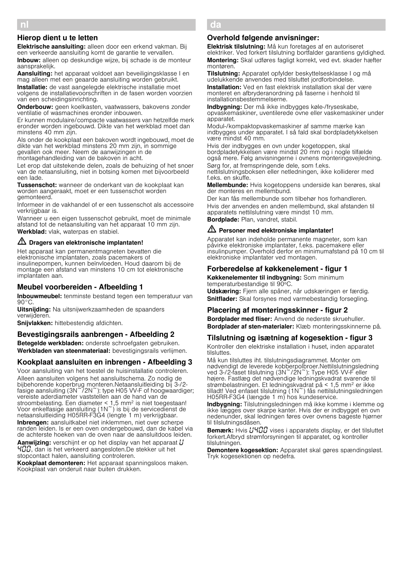# Hierop dient u te letten

Elektrische aansluiting: alleen door een erkend vakman. Bij een verkeerde aansluiting komt de garantie te vervallen.

Inbouw: alleen op deskundige wijze, bij schade is de monteur aansprakelijk.

Aansluiting: het apparaat voldoet aan beveiligingsklasse I en mag alleen met een geaarde aansluiting worden gebruikt.

Installatie: de vast aangelegde elektrische installatie moet volgens de installatievoorschriften in de fasen worden voorzien van een scheidingsinrichting.

Onderbouw: geen koelkasten, vaatwassers, bakovens zonder ventilatie of wasmachines eronder inbouwen.

Er kunnen modulaire/compacte vaatwassers van hetzelfde merk eronder worden ingebouwd. Dikte van het werkblad moet dan minstens 40 mm zijn.

Als onder de kookplaat een bakoven wordt ingebouwd, moet de dikte van het werkblad minstens 20 mm zijn, in sommige gevallen ook meer. Neem de aanwijzingen in de montagehandleiding van de bakoven in acht.

Let erop dat uitstekende delen, zoals de behuizing of het snoer van de netaansluiting, niet in botsing komen met bijvoorbeeld een lade.

Tussenschot: wanneer de onderkant van de kookplaat kan worden aangeraakt, moet er een tussenschot worden gemonteerd.

Informeer in de vakhandel of er een tussenschot als accessoire verkrijgbaar is.

Wanneer u een eigen tussenschot gebruikt, moet de minimale afstand tot de netaansluiting van het apparaat 10 mm zijn.

Werkblad: vlak, waterpas en stabiel.

# $\sqrt{D}$  Dragers van elektronische implantaten!

Het apparaat kan permanentmagneten bevatten die elektronische implantaten, zoals pacemakers of insulinepompen, kunnen beïnvloeden. Houd daarom bij de montage een afstand van minstens 10 cm tot elektronische implantaten aan.

# Meubel voorbereiden - Afbeelding 1

Inbouwmeubel: tenminste bestand tegen een temperatuur van  $90^{\circ}$ C.

Uitsnijding: Na uitsnijwerkzaamheden de spaanders verwijderen.

Snijvlakken: hittebestendig afdichten.

# Bevestigingsrails aanbrengen - Afbeelding 2

Betegelde werkbladen: onderste schroefgaten gebruiken. Werkbladen van steenmateriaal: bevestigingsrails verlijmen.

# Kookplaat aansluiten en inbrengen - Afbeelding 3

Voor aansluiting van het toestel de huisinstallatie controleren. Alleen aansluiten volgens het aansluitschema. Zo nodig de bijbehorende koperbrug monteren.Netaansluitleiding bij 3-/2 fasige aansluiting (3N $\degree$ /2N $\degree$ ): type H05 VV-F of hoogwaardiger; vereiste aderdiameter vaststellen aan de hand van de stroombelasting. Een diameter < 1,5 mm2 is niet toegestaan! Voor enkelfasige aansluiting (1N~) is bij de servicedienst de netaansluitleiding H05RR-F3G4 (lengte 1 m) verkrijgbaar. Inbrengen: aansluitkabel niet inklemmen, niet over scherpe randen leiden. Is er een oven ondergebouwd, dan de kabel via de achterste hoeken van de oven naar de aansluitdoos leiden.

Aanwijzing: verschijnt er op het display van het apparaat  $U$ …‹‹, dan is het verkeerd aangesloten.De stekker uit het stopcontact halen, aansluiting controleren.

Kookplaat demonteren: Het apparaat spanningsloos maken. Kookplaat van onderuit naar buiten drukken.

#### da × Monteringsvejledning

# Overhold følgende anvisninger:

Elektrisk tilslutning: Må kun foretages af en autoriseret elektriker. Ved forkert tilslutning bortfalder garantiens gyldighed. Montering: Skal udføres fagligt korrekt, ved evt. skader hæfter montøren.

Tilslutning: Apparatet opfylder beskyttelsesklasse I og må udelukkende anvendes med tilsluttet jordforbindelse. Installation: Ved en fast elektrisk installation skal der være monteret en afbryderanordning på faserne i henhold til installationsbestemmelserne.

Indbygning: Der må ikke indbygges køle-/fryseskabe, opvaskemaskiner, uventilerede ovne eller vaskemaskiner under apparatet.

Modul-/kompaktopvaskemaskiner af samme mærke kan indbygges under apparatet. I så fald skal bordpladetykkelsen være mindst 40 mm.

Hvis der indbygges en ovn under kogetoppen, skal bordpladetykkelsen være mindst 20 mm og i nogle tilfælde også mere. Følg anvisningerne i ovnens monteringsvejledning.

Sørg for, at fremspringende dele, som f.eks. nettilslutningsboksen eller netledningen, ikke kolliderer med f.eks. en skuffe.

Mellembunde: Hvis kogetoppens underside kan berøres, skal der monteres en mellembund.

Der kan fås mellembunde som tilbehør hos forhandleren. Hvis der anvendes en anden mellembund, skal afstanden til apparatets nettilslutning være mindst 10 mm.

Bordplade: Plan, vandret, stabil.

### $\langle \cdot \rangle$  Personer med elektroniske implantater!

Apparatet kan indeholde permanente magneter, som kan påvirke elektroniske implantater, f.eks. pacemakere eller insulinpumper. Overhold derfor en minimumafstand på 10 cm til elektroniske implantater ved montagen.

# Forberedelse af køkkenelement - figur 1

Køkkenelementer til indbygning: Som minimum temperaturbestandige til 90ºC.

Udskæring: Fjern alle spåner, når udskæringen er færdig. Snitflader: Skal forsynes med varmebestandig forsegling.

# Placering af monteringsskinner - figur 2

Bordplader med fliser: Anvend de nederste skruehuller. Bordplader af sten-materialer: Klæb monteringsskinnerne på.

# Tilslutning og isætning af kogesektion figur 3

Kontroller den elektriske installation i huset, inden apparatet tilsluttes.

Må kun tilsluttes iht. tilslutningsdiagrammet. Monter om nødvendigt de leverede kobberpolbroer.Nettilslutningsledning ved 3-/2-faset tilslutning (3N~/2N~): Type H05 VV-F eller højere. Fastlæg det nødvendige ledningskvadrat svarende til strømbelastningen. Et ledningskvadrat på < 1,5 mm2 er ikke tilladt! Ved enfaset tilslutning (1N~) fås nettilslutningsledningen H05RR-F3G4 (længde 1 m) hos kundeservice.

Indbygning: Tilslutningsledningen må ikke komme i klemme og ikke lægges over skarpe kanter. Hvis der er indbygget en ovn nedenunder, skal ledningen føres over ovnens bageste hjørner til tilslutningsdåsen.

Bemærk: Hvis HHOO vises i apparatets display, er det tilsluttet forkert.Afbryd strømforsyningen til apparatet, og kontroller tilslutningen.

Demontere kogesektion: Apparatet skal gøres spændingsløst. Tryk kogesektionen op nedefra.

nl é Installatievoorschrift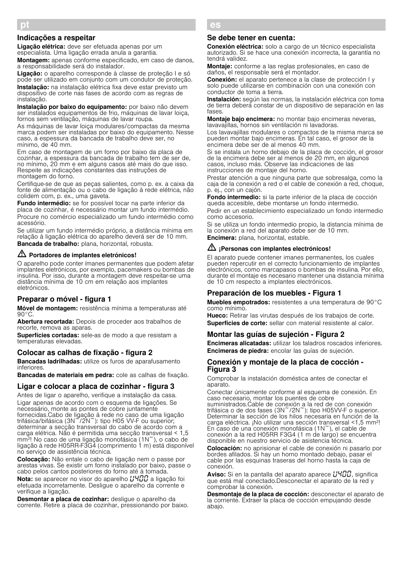Liaacão elétrica: deve ser efetuada apenas por um especialista. Uma ligação errada anula a garantia.

Montagem: apenas conforme especificado, em caso de danos, a responsabilidade será do instalador.

Ligação: o aparelho corresponde à classe de proteção I e só pode ser utilizado em conjunto com um condutor de proteção. Instalação: na instalação elétrica fixa deve estar previsto um dispositivo de corte nas fases de acordo com as regras de instalação.

Instalação por baixo do equipamento: por baixo não devem ser instalados equipamentos de frio, máquinas de lavar loiça, fornos sem ventilação, máquinas de lavar roupa.

As máquinas de lavar loiça modulares/compactas da mesma marca podem ser instaladas por baixo do equipamento. Nesse caso, a espessura da bancada de trabalho deve ser, no mínimo, de 40 mm.

Em caso de montagem de um forno por baixo da placa de cozinhar, a espessura da bancada de trabalho tem de ser de, no mínimo, 20 mm e em alguns casos até mais do que isso. Respeite as indicações constantes das instruções de montagem do forno.

Certifique-se de que as peças salientes, como p. ex. a caixa da fonte de alimentação ou o cabo de ligação à rede elétrica, não colidem com, p. ex., uma gaveta.

Fundo intermédio: se for possível tocar na parte inferior da placa de cozinhar, é necessário montar um fundo intermédio. Procure no comércio especializado um fundo intermédio como acessório.

Se utilizar um fundo intermédio próprio, a distância mínima em relação à ligação elétrica do aparelho deverá ser de 10 mm.

Bancada de trabalho: plana, horizontal, robusta.

# $\mathbb{Z}$  Portadores de implantes eletrónicos!

O aparelho pode conter ímanes permanentes que podem afetar implantes eletrónicos, por exemplo, pacemakers ou bombas de insulina. Por isso, durante a montagem deve respeitar-se uma distância mínima de 10 cm em relação aos implantes eletrónicos.

# Preparar o móvel - figura 1

Móvel de montagem: resistência mínima a temperaturas até 90°C.

Abertura recortada: Depois de proceder aos trabalhos de recorte, remova as aparas.

Superfícies cortadas: sele-as de modo a que resistam a temperaturas elevadas.

### Colocar as calhas de fixação - figura 2

Bancadas ladrilhadas: utilize os furos de aparafusamento inferiores.

Bancadas de materiais em pedra: cole as calhas de fixação.

# Ligar e colocar a placa de cozinhar - figura 3

Antes de ligar o aparelho, verifique a instalação da casa. Ligar apenas de acordo com o esquema de ligações. Se necessário, monte as pontes de cobre juntamente fornecidas.Cabo de ligação à rede no caso de uma ligação trifásica/bifásica (3N<sup>~</sup>/2N~): tipo H05 VV-F ou superior; determinar a secção transversal do cabo de acordo com a carga elétrica. Não é permitida uma secção transversal < 1,5 mm2! No caso de uma ligação monofásica (1N~), o cabo de ligação à rede H05RR-F3G4 (comprimento 1 m) está disponível no serviço de assistência técnica.

Colocação: Não entale o cabo de ligação nem o passe por arestas vivas. Se existir um forno instalado por baixo, passe o cabo pelos cantos posteriores do forno até à tomada.

Nota: se aparecer no visor do aparelho  $\mu$ 400 a ligação foi efetuada incorretamente. Desligue o aparelho da corrente e verifique a ligação.

Desmontar a placa de cozinhar: deslique o aparelho da corrente. Retire a placa de cozinhar, pressionando por baixo.

#### Û Instrucciones de montaje Se debe tener en cuenta:

es

Conexión eléctrica: solo a cargo de un técnico especialista autorizado. Si se hace una conexión incorrecta, la garantía no tendrá validez.

Montaje: conforme a las reglas profesionales, en caso de daños, el responsable será el montador.

Conexión: el aparato pertenece a la clase de protección I y solo puede utilizarse en combinación con una conexión con conductor de toma a tierra.

Instalación: según las normas, la instalación eléctrica con toma de tierra deberá constar de un dispositivo de separación en las fases.

Montaje bajo encimera: no montar bajo encimeras neveras, lavavajillas, hornos sin ventilación ni lavadoras.

Los lavavajillas modulares o compactos de la misma marca se pueden montar bajo encimeras. En tal caso, el grosor de la encimera debe ser de al menos 40 mm.

Si se instala un horno debajo de la placa de cocción, el grosor de la encimera debe ser al menos de 20 mm, en algunos casos, incluso más. Observe las indicaciones de las instrucciones de montaje del horno.

Prestar atención a que ninguna parte que sobresalga, como la caja de la conexión a red o el cable de conexión a red, choque, p. ej., con un cajón.

Fondo intermedio: si la parte inferior de la placa de cocción queda accesible, debe montarse un fondo intermedio. Pedir en un establecimiento especializado un fondo intermedio como accesorio.

Si se utiliza un fondo intermedio propio, la distancia mínima de la conexión a red del aparato debe ser de 10 mm. Encimera: plana, horizontal, estable.

# $\sqrt{2}$  ¡Personas con implantes electrónicos!

El aparato puede contener imanes permanentes, los cuales pueden repercutir en el correcto funcionamiento de implantes electrónicos, como marcapasos o bombas de insulina. Por ello, durante el montaje es necesario mantener una distancia mínima de 10 cm respecto a implantes electrónicos.

### Preparación de los muebles - Figura 1

Muebles empotrados: resistentes a una temperatura de 90°C como mínimo.

Hueco: Retirar las virutas después de los trabajos de corte. Superficies de corte: sellar con material resistente al calor.

# Montar las guías de sujeción - Figura 2

Encimeras alicatadas: utilizar los taladros roscados inferiores. Encimeras de piedra: encolar las guías de sujeción.

### Conexión y montaje de la placa de cocción - Figura 3

Comprobar la instalación doméstica antes de conectar el aparato.

Conectar únicamente conforme al esquema de conexión. En caso necesario, montar los puentes de cobre

suministrados.Cable de conexión a la red de con conexión trifásica o de dos fases (3N~/2N~): tipo H05VV-F o superior. Determinar la sección de los hilos necesaria en función de la carga eléctrica. ¡No utilizar una sección transversal <1,5 mm2! En caso de una conexión monofásica (1N~), el cable de conexión a la red H05RR F3G4 (1 m de largo) se encuentra disponible en nuestro servicio de asistencia técnica.

Colocación: no aprisionar el cable de conexión ni pasarlo por bordes afilados. Si hay un horno montado debajo, pasar el cable por las esquinas traseras del horno hasta la caja de conexión.

**Aviso:** Si en la pantalla del aparato aparece  $L'$ H $L''$ , significa que está mal conectado.Desconectar el aparato de la red y comprobar la conexión.

Desmontaje de la placa de cocción: desconectar el aparato de la corriente. Extraer la placa de cocción empujando desde abajo.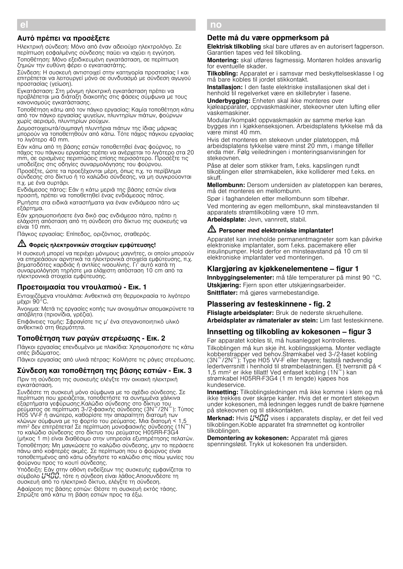# Αυτό πρέπει να προσέξετε

Ηλεκτρική σύνδεση: Μόνο από έναν αδειούχο ηλεκτρολόγο. Σε περίπτωση εσφαλμένης σύνδεσης παύει να ισχύει η εγγύηση. Τοποθέτηση: Μόνο εξειδικευμένη εγκατάσταση, σε περίπτωση ζημιών την ευθύνη φέρει ο εγκαταστάτης.

Σύνδεση: Η συσκευή αντιστοιχεί στην κατηγορία προστασίας I και επιτρέπεται να λειτουργεί μόνο σε συνδυασμό με σύνδεση αγωγού προστασίας (γείωση).

Εγκατάσταση: Στη μόνιμη ηλεκτρική εγκατάσταση πρέπει να προβλέπεται μια διάταξη διακοπής στις φάσεις σύμφωνα με τους κανονισμούς εγκατάστασης.

Τοποθέτηση κάτω από τον πάγκο εργασίας: Καμία τοποθέτηση κάτω από τον πάγκο εργασίας ψυγείων, πλυντηρίων πιάτων, φούρνων χωρίς αερισμό, πλυντηρίων ρούχων.

Δομοστοιχειωτά/συμπαγή πλυντήρια πιάτων της ίδιας μάρκας μπορούν να τοποθετηθούν από κάτω. Τότε πάχος πάγκου εργασίας το λιγότερο 40 mm.

Εάν κάτω από τη βάσης εστιών τοποθετηθεί ένας φούρνος, το πάχος του πάγκου εργασίας πρέπει να ανέρχεται το λιγότερο στα 20 mm, σε ορισμένες περιπτώσεις επίσης περισσότερο. Προσέξτε τις υποδείξεις στις οδηγίες συναρμολόγησης του φούρνου.

Προσέξτε, ώστε τα προεξέχονται μέρη, όπως π.χ. το περίβλημα σύνδεσης στο δίκτυο ή το καλώδιο σύνδεσης, να μη συγκρούονται π.χ. με ένα συρτάρι.

Ενδιάμεσος πάτος: Εάν η κάτω μεριά της βάσης εστιών είναι προσιτή, πρέπει να τοποθετηθεί ένας ενδιάμεσος πάτος. Ρωτήστε στα ειδικά καταστήματα για έναν ενδιάμεσο πάτο ως εξάρτημα.

Εάν χρησιμοποιήσετε ένα δικό σας ενδιάμεσο πάτο, πρέπει η ελάχιστη απόσταση από τη σύνδεση στο δίκτυο της συσκευής να είναι 10 mm.

Πάγκος εργασίας: Επίπεδος, οριζόντιος, σταθερός.

### m Φορείς ηλεκτρονικών στοιχείων εμφύτευσης!

Η συσκευή μπορεί να περιέχει μόνιμους μαγνήτες, οι οποίοι μπορούν να επηρεάσουν αρνητικά τα ηλεκτρονικά στοιχεία εμφύτευσης, π.χ. βηματοδότες καρδιάς ή αντλίες ινσουλίνης. Γι' αυτό κατά τη συναρμολόγηση τηρήστε μια ελάχιστη απόσταση 10 cm από τα ηλεκτρονικά στοιχεία εμφύτευσης.

### Προετοιμασία του ντουλαπιού - Εικ. 1

Εντοιχιζόμενα ντουλάπια: Ανθεκτικά στη θερμοκρασία το λιγότερο μέχρι 90°C.

Άνοιγμα: Μετά τις εργασίες κοπής των ανοιγμάτων απομακρύνετε τα απόβλητα (πριονίδια, γρέζια).

Επιφάνειες τομής: Σφραγίστε τις μ' ένα στεγανοποιητικό υλικό ανθεκτικό στη θερμότητα.

### Τοποθέτηση των ραγών στερέωσης - Εικ. 2

Πάγκοι εργασίας επενδυμένοι με πλακίδια: Χρησιμοποιήστε τις κάτω οπές βιδώματος.

Πάγκοι εργασίας από υλικά πέτρας: Κολλήστε τις ράγες στερέωσης.

### Σύνδεση και τοποθέτηση της βάσης εστιών - Εικ. 3

Πριν τη σύνδεση της συσκευής ελέγξτε την οικιακή ηλεκτρική εγκατάσταση.

Συνδέστε τη συσκευή μόνο σύμφωνα με το σχέδιο σύνδεσης. Σε περίπτωση που χρειάζεται, τοποθετήστε τα συνημμένα χάλκινα εξαρτήματα γεφύρωσης.Καλώδιο σύνδεσης στο δίκτυο του ρεύματος σε περίπτωση 3-/2-φασικής σύνδεσης (3N~/2N~): Τύπος H05 VV-F ή ανώτερο, καθορίστε την απαραίτητη διατομή των κλώνων σύμφωνα με το φορτίο του ρεύματος. Μια διατομή < 1,5 mm2 δεν επιτρέπεται! Σε περίπτωση μονοφασικής σύνδεσης (1N~) το καλώδιο σύνδεσης στο δίκτυο του ρεύματος H05RR-F3G4 (μήκος 1 m) είναι διαθέσιμο στην υπηρεσία εξυπηρέτησης πελατών. Τοποθέτηση: Μη μαγκώσετε το καλώδιο σύνδεσης, μην το περάσετε πάνω από κοφτερές ακμές. Σε περίπτωση που ο φούρνος είναι τοποθετημένος από κάτω οδηγήστε το καλώδιο στις πίσω γωνίες του φούρνου προς το κουτί σύνδεσης.

Υπόδειξη: Εάν στην οθόνη ενδείξεων της συσκευής εμφανίζεται το σύμβολο **L'ΥΠΠ**, τότε η σύνδεση είναι λάθος.Αποσυνδέστε τη συσκευή από το ηλεκτρικό δίκτυο, ελέγξτε τη σύνδεση.

Αφαίρεση της βάσης εστιών: Θέστε τη συσκευή εκτός τάσης.<br>Σπρώξτε από κάτω τη βάση εστιών προς τα έξω.

#### no ê Monteringsveiledning

### Dette må du være oppmerksom på

Elektrisk tilkobling skal bare utføres av en autorisert fagperson. Garantien tapes ved feil tilkobling.

Montering: skal utføres fagmessig. Montøren holdes ansvarlig for eventuelle skader.

Tilkobling: Apparatet er i samsvar med beskyttelsesklasse I og må bare kobles til jordet stikkontakt.

Installasion: I den faste elektriske installasionen skal det i henhold til regelverket være en skillebryter i fasene.

Underbygging: Enheten skal ikke monteres over kjøleapparater, oppvaskmaskiner, stekeovner uten lufting eller vaskemaskiner.

Modular/kompakt oppvaskmaskin av samme merke kan bygges inn i kjøkkenseksjonen. Arbeidsplatens tykkelse må da være minst 40 mm.

Hvis det monteres en stekeovn under platetoppen, må arbeidsplatens tykkelse være minst 20 mm, i mange tilfeller enda mer. Følg veiledningen i monteringsanvisningen for stekeovnen.

Påse at deler som stikker fram, f.eks. kapslingen rundt tilkoblingen eller strømkabelen, ikke kolliderer med f.eks. en skuff.

Mellombunn: Dersom undersiden av platetoppen kan berøres, må det monteres en mellombunn.

Spør i faghandelen etter mellombunn som tilbehør. Ved montering av egen mellombunn, skal minsteavstanden til

apparatets strømtilkobling være 10 mm.

Arbeidsplate: Jevn, vannrett, stabil.

### $\sqrt{N}$  Personer med elektroniske implantater!

Apparatet kan inneholde permanentmagneter som kan påvirke elektroniske implantater, som f.eks. pacemakere eller insulinpumper. Hold derfor en minsteavstand på 10 cm til elektroniske implantater ved monteringen.

### Klargjøring av kjøkkenelementene – figur 1

Innbyggingselementer: må tåle temperaturer på minst 90 °C. Utskjæring: Fjern spon etter utskjæringsarbeider. Snittflater: må gjøres varmebestandige.

### Plassering av festeskinnene - fig. 2

Flislagte arbeidsplater: Bruk de nederste skruehullene. Arbeidsplater av råmaterialer av stein: Lim fast festeskinnene.

# Innsetting og tilkobling av kokesonen – figur 3

Før apparatet kobles til, må husanlegget kontrolleres. Tilkoblingen må kun skje iht. koblingsskjema. Monter vedlagte kobberstrapper ved behov.Strømkabel ved 3-/2-faset kobling (3N~/2N~): Type H05 VV-F eller høyere; fastslå nødvendig ledertverrsnitt i henhold til strømbelastningen. Et tverrsnitt på < 1,5 mm2 er ikke tillatt! Ved enfaset kobling (1N~) kan strømkabel H05RR-F3G4 (1 m lengde) kjøpes hos kundeservice.

Innsetting: Tilkoblingsledningen må ikke komme i klem og må ikke trekkes over skarpe kanter. Hvis det er montert stekeovn under kokesonen, må ledningen legges rundt de bakre hjørnene på stekeovnen og til stikkontakten.

Merknad: Hvis *LIHOO* vises i apparatets display, er det feil ved tilkoblingen.Koble apparatet fra strømnettet og kontroller tilkoblingen.

Demontering av kokesonen: Apparatet må gjøres spenningsløst. Trykk ut kokesonen fra undersiden.

el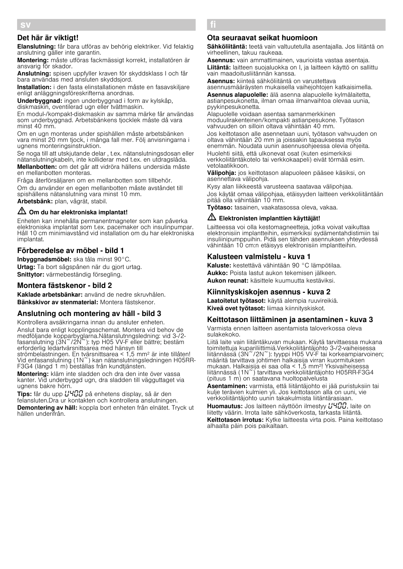# Det här är viktigt!

Elanslutning: får bara utföras av behörig elektriker. Vid felaktig anslutning gäller inte garantin.

Montering: måste utföras fackmässigt korrekt, installatören är ansvarig för skador.

Anslutning: spisen uppfyller kraven för skyddsklass I och får bara användas med ansluten skyddsjord.

Installation: i den fasta elinstallationen måste en fasavskiliare enligt anläggningsföreskrifterna anordnas.

Underbyggnad: ingen underbyggnad i form av kylskåp, diskmaskin, oventilerad ugn eller tvättmaskin.

En modul-/kompakt-diskmaskin av samma märke får användas som underbyggnad. Arbetsbänkens tjocklek måste då vara minst 40 mm.

Om en ugn monteras under spishällen måste arbetsbänken vara minst 20 mm tjock, i många fall mer. Följ anvisningarna i ugnens monteringsinstruktion.

Se noga till att utskjutande delar , t.ex. nätanslutningsdosan eller nätanslutningkabeln, inte kolliderar med t.ex. en utdragslåda.

Mellanbotten: om det går att vidröra hällens undersida måste en mellanbotten monteras.

Fråga återförsäljaren om en mellanbotten som tillbehör.

Om du använder en egen mellanbotten måste avståndet till spishällens nätanslutning vara minst 10 mm.

Arbetsbänk: plan, vågrät, stabil.

## $\sqrt{2}$  Om du har elektroniska implantat!

Enheten kan innehålla permanentmagneter som kan påverka elektroniska implantat som t.ex. pacemaker och insulinpumpar. Håll 10 cm minimiavstånd vid installation om du har elektroniska implantat.

# Förberedelse av möbel - bild 1

Inbvaanadsmöbel: ska tåla minst 90°C. Urtag: Ta bort sågspånen när du gjort urtag. Snittytor: värmebeständig försegling.

# Montera fästskenor - bild 2

Kaklade arbetsbänkar: använd de nedre skruvhålen. Bänkskivor av stenmaterial: Montera fästskenor.

# Anslutning och montering av häll - bild 3

Kontrollera avsäkringarna innan du ansluter enheten. Anslut bara enligt kopplingsschemat. Montera vid behov de medföljande kopparbyglarna.Nätanslutnngsledning: vid 3-/2 fasanslutning (3N~/2N~): typ H05 VV-F eller bättre; bestäm erforderlig ledartvärsnittsarea med hänsyn till

strömbelastningen. En tvärsnittsarea < 1,5 mm2 är inte tillåten! Vid enfasanslutning (1N~) kan nätanslutningsledningen H05RR-F3G4 (längd 1 m) beställas från kundtjänsten.

Montering: kläm inte sladden och dra den inte över vassa kanter. Vid underbyggd ugn, dra sladden till vägguttaget via ugnens bakre hörn.

Tips: får du upp *L'HOO* på enhetens display, så är den felansluten.Dra ur kontakten och kontrollera anslutningen.

Demontering av häll: koppla bort enheten från elnätet. Tryck ut hällen underifrån.

#### fi Ý Asennusohje

## Ota seuraavat seikat huomioon

Sähköliitäntä: teetä vain valtuutetulla asentajalla. Jos liitäntä on virheellinen, takuu raukeaa.

Asennus: vain ammattimainen, vaurioista vastaa asentaja. Liitäntä: laitteen suojaluokka on I, ja laitteen käyttö on sallittu vain maadoitusliitännän kanssa.

Asennus: kiinteä sähköliitäntä on varustettava asennusmääräysten mukaisella vaihejohtojen katkaisimella.

Asennus alapuolelle: älä asenna alapuolelle kylmälaitetta, astianpesukonetta, ilman omaa ilmanvaihtoa olevaa uunia, pyykinpesukonetta.

Alapuolelle voidaan asentaa samanmerkkinen moduulirakenteinen/kompakti astianpesukone. Työtason vahvuuden on silloin oltava vähintään 40 mm.

Jos keittotason alle asennetaan uuni, työtason vahvuuden on oltava vähintään 20 mm ja joissakin tapauksessa myös enemmän. Noudata uunin asennusohjeessa olevia ohjeita.

Huolehti siitä, että ulkonevat osat (kuten esimerkiksi verkkoliitäntäkotelo tai verkkokaapeli) eivät törmää esim. vetolaatikkoon.

Välipohja: jos keittotason alapuoleen pääsee käsiksi, on asennettava välipohja.

Kysy alan liikkeestä varusteena saatavaa välipohjaa. Jos käytät omaa välipohjaa, etäisyyden laitteen verkkoliitäntään pitää olla vähintään 10 mm.

Työtaso: tasainen, vaakatasossa oleva, vakaa.

# $\triangle$  Elektronisten implanttien käyttäjät!

Laitteessa voi olla kestomagneetteja, jotka voivat vaikuttaa elektronisiin implantteihin, esimerkiksi sydämentahdistimiin tai insuliinipumppuihin. Pidä sen tähden asennuksen yhteydessä vähintään 10 cm:n etäisyys elektronisiin implantteihin.

## Kalusteen valmistelu - kuva 1

Kaluste: kestettävä vähintään 90 °C lämpötilaa.

Aukko: Poista lastut aukon tekemisen jälkeen. Aukon reunat: käsittele kuumuutta kestäviksi.

# Kiinnityskiskojen asennus - kuva 2

Laatoitetut työtasot: käytä alempia ruuvireikiä. Kiveä ovet työtasot: liimaa kiinnityskiskot.

### Keittotason liittäminen ja asentaminen - kuva 3

Varmista ennen laitteen asentamista taloverkossa oleva sulakekoko.

Liitä laite vain liitäntäkuvan mukaan. Käytä tarvittaessa mukana toimitettuja kupariliittimiä.Verkkoliitäntäjohto 3-/2-vaiheisessa liitännässä (3N~/2N~): tyyppi H05 VV-F tai korkeampiarvoinen; määritä tarvittava johtimen halkaisija virran kuormituksen mukaan. Halkaisija ei saa olla < 1,5 mm2! Yksivaiheisessa liitännässä (1N~) tarvittava verkkoliitäntäjohto H05RR-F3G4 (pituus 1 m) on saatavana huoltopalvelusta

Asentaminen: varmista, että liitäntäjohto ei jää puristuksiin tai kulje terävien kulmien yli. Jos keittotason alla on uuni, vie verkkoliitäntäjohto uunin takakulmista liitäntärasiaan.

**Huomautus:** Jos laitteen näyttöön ilmestyy  $L$ <sup>4</sup> $L$ <sup>0</sup> $L$ , laite on liitetty väärin. Irrota laite sähköverkosta, tarkasta liitäntä.

Keittotason irrotus: Kytke laitteesta virta pois. Paina keittotaso alhaalta päin pois paikaltaan.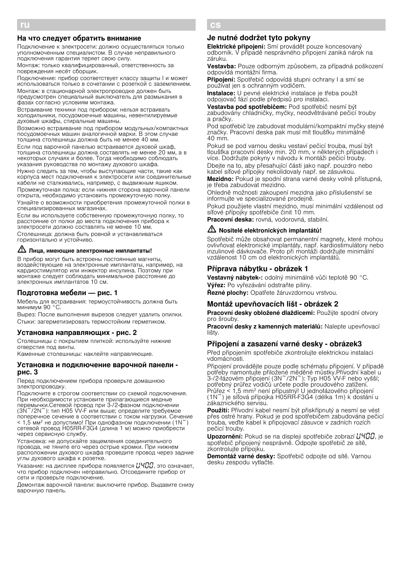### На что следует обратить внимание

Подключение к электросети: должно осуществляться только уполномоченным специалистом. В случае неправильного подключения гарантия теряет свою силу.

Монтаж: только квалифицированный, ответственность за повреждения несёт сборщик.

Подключение: прибор соответствует классу защиты I и может использоваться только в сочетании с розеткой с заземлением.

Монтаж: в стационарной электропроводке должен быть предусмотрен специальный выключатель для размыкания в фазах согласно условиям монтажа.

Встраивание техники под прибором: нельзя встраивать холодильники, посудомоечные машины, невентилируемые духовые шкафы, стиральные машины.

Возможно встраивание под прибором модульных/компактных посудомоечных машин аналогичной марки. В этом случае толщина столешницы должна быть не менее 40 мм.

Если под варочной панелью встраивается духовой шкаф, толщина столешницы должна составлять не менее 20 мм, а в некоторых случаях и более. Тогда необходимо соблюдать указания руководства по монтажу духового шкафа.

Нужно следить за тем, чтобы выступающие части, такие как корпуса мест подключения к электросети или соединительные кабели не сталкивались, например, с выдвижным ящиком.

Промежуточная полка: если нижняя сторона варочной панели открыта, необходимо установить промежуточную полку.

Узнайте о возможности приобретения промежуточной полки в специализированных магазинах.

Если вы используете собственную промежуточную полку, то расстояние от полки до места подключения прибора к электросети должно составлять не менее 10 мм.

Столешница: должна быть ровной и устанавливаться горизонтально и устойчиво.

# $\sqrt{\Delta}$  Лица, имеющие электронные имплантаты!

В прибор могут быть встроены постоянные магниты, воздействующие на электронные имплантаты, например, на кардиостимулятор или инжектор инсулина. Поэтому при монтаже следует соблюдать минимальное расстояние до электронных имплантатов 10 см.

### Подготовка мебели — рис. 1

Мебель для встраивания: термоустойчивость должна быть минимум 90 °C.

Вырез: После выполнения вырезов следует удалить опилки. Стыки: загерметизировать термостойким герметиком.

### Установка направляющих - рис. 2

Столешницы с покрытием плиткой: используйте нижние отверстия под винты.

Каменные столешницы: наклейте направляющие.

### Установка и подключение варочной панели рис. 3

Перед подключением прибора проверьте домашнюю электропроводку.

Подключите <sup>в</sup> строгом соответствии со схемой подключения. При необходимости установите прилагающиеся медные перемычки.Сетевой провод при 3-/2-фазном подключении (3N~/2N~): тип H05 VV-F или выше; определите требуемое поперечное сечение в соответствии с током нагрузки. Сечение  $<$  1,5 мм<sup>2</sup> не допустимо! При однофазном подключении (1N<sup> $\sim$ </sup>) сетевой провод H05RR-F3G4 (длина 1 м) можно приобрести через сервисную службу.

Установка: не допускайте защемления соединительного провода, не тяните его через острые кромки. При нижнем расположении духового шкафа проведите провод через задние углы духового шкафа к розетке.

Указание: на дисплее прибора появляется  $\mu$ ЧПП, это означает, что прибор подключен неправильно. Отсоедините прибор от сети и проверьте подключение.

Демонтаж варочной панели: выключите прибор. Выдавите снизу варочную панель.

#### cs Ö Montážní návod

### Je nutné dodržet tyto pokyny

Elektrické připojení: Smí provádět pouze koncesovaný odborník. V případě nesprávného připojení zaniká nárok na záruku.

Vestavba: Pouze odborným způsobem, za případná poškození odpovídá montážní firma.

Připojení: Spotřebič odpovídá stupni ochrany I a smí se používat jen s ochranným vodičem.

Instalace: U pevné elektrické instalace je třeba použít odpojovač fází podle předpisů pro instalaci.

Vestavba pod spotřebičem: Pod spotřebič nesmí být zabudovány chladničky, myčky, neodvětrávané pečicí trouby a pračky.

Pod spotřebič lze zabudovat modulární/kompaktní myčky stejné značky. Pracovní deska pak musí mít tloušťku minimálně 40 mm.

Pokud se pod varnou desku vestaví pečicí trouba, musí být tloušťka pracovní desky min. 20 mm, v některých případech i více. Dodržujte pokyny v návodu k montáži pečicí trouby.

Dbejte na to, aby přesahující části jako např. pouzdro nebo kabel síťové přípojky nekolidovaly např. se zásuvkou.

Mezidno: Pokud je spodní strana varné desky volně přístupná, je třeba zabudovat mezidno.

Ohledně možnosti zakoupení mezidna jako příslušenství se informujte ve specializované prodejně.

Pokud použijete vlastní mezidno, musí minimální vzdálenost od síťové přípojky spotřebiče činit 10 mm.

Pracovní deska: rovná, vodorovná, stabilní.

### **M** Nositelé elektronických implantátů!

Spotřebič může obsahovat permanentní magnety, které mohou ovlivňovat elektronické implantáty, např. kardiostimulátory nebo inzulinové dávkovače. Proto při montáži dodržujte minimální vzdálenost 10 cm od elektronických implantátů.

### Příprava nábytku - obrázek 1

Vestavný nábytek-: odolný minimálně vůči teplotě 90 °C. Výřez: Po vyřezávání odstraňte piliny.

Řezné plochy: Opatřete žáruvzdornou vrstvou.

# Montáž upevňovacích lišt - obrázek 2

Pracovní desky obložené dlaždicemi: Použijte spodní otvory pro šrouby.

Pracovní desky z kamenných materiálů: Nalepte upevňovací lišty.

### Připojení a zasazení varné desky - obrázek3

Před připojením spotřebiče zkontrolujte elektrickou instalaci vdomácnosti.

Připojení provádějte pouze podle schématu připojení. V případě potřeby namontujte přiložené měděné můstky.Přívodní kabel u 3-/2-fázovém připojení (3N~/2N~): Typ H05 VV-F nebo vyšší; potřebný průřez vodičů určete podle proudového zatížení. Průřez < 1,5 mm2 není přípustný! U jednofázového připojení (1N~) je síťová přípojka H05RR-F3G4 (délka 1m) k dostání u zákaznického servisu.

Použití: Přívodní kabel nesmí být přiskřípnutý a nesmí se vést přes ostré hrany. Pokud je pod spotřebičem zabudována pečicí trouba, veďte kabel k připojovací zásuvce v zadních rozích pečicí trouby.

**Upozornění:** Pokud se na displeji spotřebiče zobrazí  $\mu$ 400, je spotřebič připojený nesprávně. Odpojte spotřebič ze sítě, zkontrolujte přípojku.

Demontáž varné desky: Spotřebič odpojte od sítě. Varnou desku zespodu vytlačte.